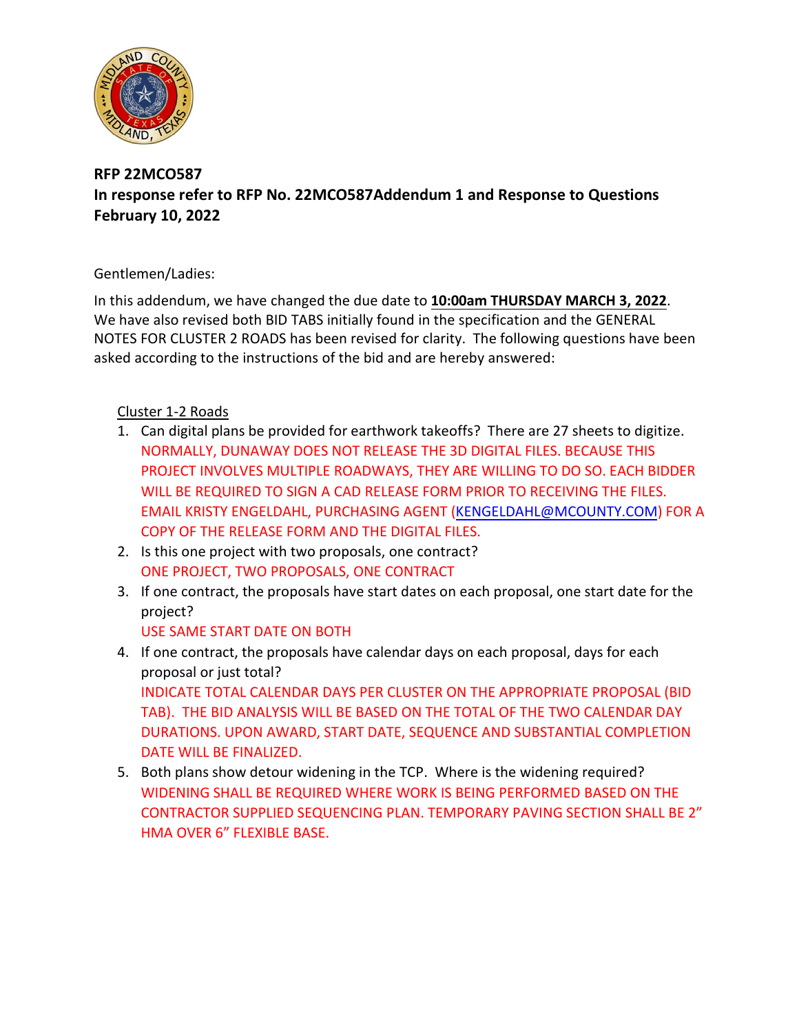

## **RFP 22MCO587 In response refer to RFP No. 22MCO587Addendum 1 and Response to Questions February 10, 2022**

## Gentlemen/Ladies:

In this addendum, we have changed the due date to **10:00am THURSDAY MARCH 3, 2022**. We have also revised both BID TABS initially found in the specification and the GENERAL NOTES FOR CLUSTER 2 ROADS has been revised for clarity. The following questions have been asked according to the instructions of the bid and are hereby answered:

## Cluster 1-2 Roads

- 1. Can digital plans be provided for earthwork takeoffs? There are 27 sheets to digitize. NORMALLY, DUNAWAY DOES NOT RELEASE THE 3D DIGITAL FILES. BECAUSE THIS PROJECT INVOLVES MULTIPLE ROADWAYS, THEY ARE WILLING TO DO SO. EACH BIDDER WILL BE REQUIRED TO SIGN A CAD RELEASE FORM PRIOR TO RECEIVING THE FILES. EMAIL KRISTY ENGELDAHL, PURCHASING AGENT [\(KENGELDAHL@MCOUNTY.COM\)](mailto:KENGELDAHL@MCOUNTY.COM) FOR A COPY OF THE RELEASE FORM AND THE DIGITAL FILES.
- 2. Is this one project with two proposals, one contract? ONE PROJECT, TWO PROPOSALS, ONE CONTRACT
- 3. If one contract, the proposals have start dates on each proposal, one start date for the project? USE SAME START DATE ON BOTH
- 4. If one contract, the proposals have calendar days on each proposal, days for each proposal or just total? INDICATE TOTAL CALENDAR DAYS PER CLUSTER ON THE APPROPRIATE PROPOSAL (BID TAB). THE BID ANALYSIS WILL BE BASED ON THE TOTAL OF THE TWO CALENDAR DAY DURATIONS. UPON AWARD, START DATE, SEQUENCE AND SUBSTANTIAL COMPLETION DATE WILL BE FINALIZED.
- 5. Both plans show detour widening in the TCP. Where is the widening required? WIDENING SHALL BE REQUIRED WHERE WORK IS BEING PERFORMED BASED ON THE CONTRACTOR SUPPLIED SEQUENCING PLAN. TEMPORARY PAVING SECTION SHALL BE 2" HMA OVER 6" FLEXIBLE BASE.